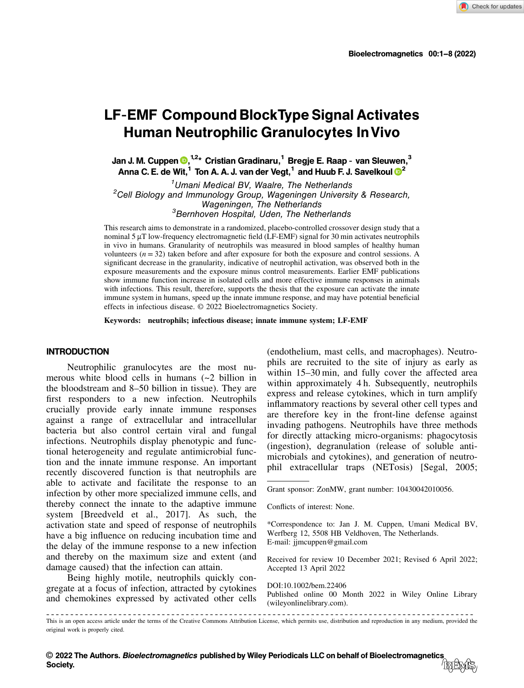# LF‐EMF Compound BlockType Signal Activates Human Neutrophilic Granulocytes InVivo

Jan J. M. Cuppen  $\bm{\mathbb{\Theta}},^{1,2}$ \* Cristian Gradinaru, $^1$  Bregje E. Raap - van Sleuwen, $^3$ Anna C. E. de Wit,<sup>1</sup> Ton A. A. J. van der Vegt,<sup>1</sup> and Huub F. J. Savelkoul  $\bigcirc^2$  $\bigcirc^2$ 

<sup>1</sup>Umani Medical BV, Waalre, The Netherlands <sup>2</sup>Cell Biology and Immunology Group, Wageningen University & Research, Wageningen, The Netherlands <sup>3</sup>Bernhoven Hospital, Uden, The Netherlands

This research aims to demonstrate in a randomized, placebo-controlled crossover design study that a nominal 5 μT low-frequency electromagnetic field (LF-EMF) signal for 30 min activates neutrophils in vivo in humans. Granularity of neutrophils was measured in blood samples of healthy human volunteers  $(n = 32)$  taken before and after exposure for both the exposure and control sessions. A significant decrease in the granularity, indicative of neutrophil activation, was observed both in the exposure measurements and the exposure minus control measurements. Earlier EMF publications show immune function increase in isolated cells and more effective immune responses in animals with infections. This result, therefore, supports the thesis that the exposure can activate the innate immune system in humans, speed up the innate immune response, and may have potential beneficial effects in infectious disease. © 2022 Bioelectromagnetics Society.

Keywords: neutrophils; infectious disease; innate immune system; LF‐EMF

#### INTRODUCTION

Neutrophilic granulocytes are the most numerous white blood cells in humans (~2 billion in the bloodstream and 8–50 billion in tissue). They are first responders to a new infection. Neutrophils crucially provide early innate immune responses against a range of extracellular and intracellular bacteria but also control certain viral and fungal infections. Neutrophils display phenotypic and functional heterogeneity and regulate antimicrobial function and the innate immune response. An important recently discovered function is that neutrophils are able to activate and facilitate the response to an infection by other more specialized immune cells, and thereby connect the innate to the adaptive immune system [Breedveld et al., 2017]. As such, the activation state and speed of response of neutrophils have a big influence on reducing incubation time and the delay of the immune response to a new infection and thereby on the maximum size and extent (and damage caused) that the infection can attain.

Being highly motile, neutrophils quickly congregate at a focus of infection, attracted by cytokines and chemokines expressed by activated other cells

(endothelium, mast cells, and macrophages). Neutrophils are recruited to the site of injury as early as within 15–30 min, and fully cover the affected area within approximately 4 h. Subsequently, neutrophils express and release cytokines, which in turn amplify inflammatory reactions by several other cell types and are therefore key in the front‐line defense against invading pathogens. Neutrophils have three methods for directly attacking micro‐organisms: phagocytosis (ingestion), degranulation (release of soluble anti‐ microbials and cytokines), and generation of neutrophil extracellular traps (NETosis) [Segal, 2005;

\*Correspondence to: Jan J. M. Cuppen, Umani Medical BV, Werfberg 12, 5508 HB Veldhoven, The Netherlands. E‐mail: jjmcuppen@gmail.com

Received for review 10 December 2021; Revised 6 April 2022; Accepted 13 April 2022

DOI:10.1002/bem.22406 Published online 00 Month 2022 in Wiley Online Library (wileyonlinelibrary.com).

Grant sponsor: ZonMW, grant number: 10430042010056.

Conflicts of interest: None.

<sup>-----------------------------------------------------------------------------------------</sup> This is an open access article under the terms of the Creative Commons Attribution License, which permits use, distribution and reproduction in any medium, provided the original work is properly cited.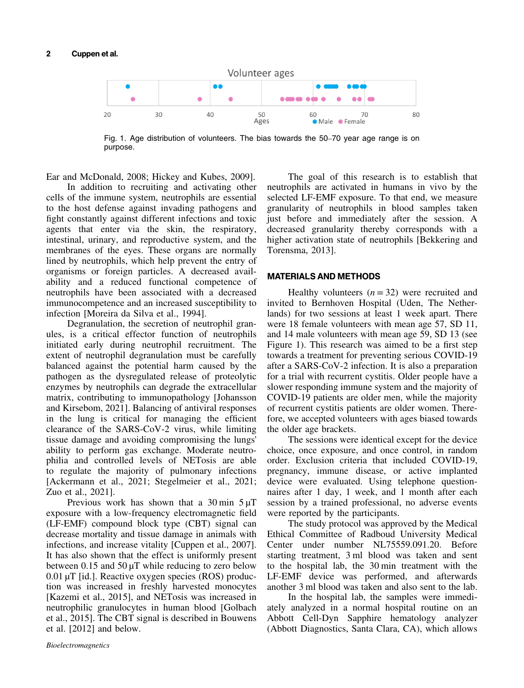

Fig. 1. Age distribution of volunteers. The bias towards the 50–70 year age range is on purpose.

Ear and McDonald, 2008; Hickey and Kubes, 2009].

In addition to recruiting and activating other cells of the immune system, neutrophils are essential to the host defense against invading pathogens and fight constantly against different infections and toxic agents that enter via the skin, the respiratory, intestinal, urinary, and reproductive system, and the membranes of the eyes. These organs are normally lined by neutrophils, which help prevent the entry of organisms or foreign particles. A decreased availability and a reduced functional competence of neutrophils have been associated with a decreased immunocompetence and an increased susceptibility to infection [Moreira da Silva et al., 1994].

Degranulation, the secretion of neutrophil granules, is a critical effector function of neutrophils initiated early during neutrophil recruitment. The extent of neutrophil degranulation must be carefully balanced against the potential harm caused by the pathogen as the dysregulated release of proteolytic enzymes by neutrophils can degrade the extracellular matrix, contributing to immunopathology [Johansson and Kirsebom, 2021]. Balancing of antiviral responses in the lung is critical for managing the efficient clearance of the SARS‐CoV‐2 virus, while limiting tissue damage and avoiding compromising the lungs' ability to perform gas exchange. Moderate neutrophilia and controlled levels of NETosis are able to regulate the majority of pulmonary infections [Ackermann et al., 2021; Stegelmeier et al., 2021; Zuo et al., 2021].

Previous work has shown that a 30 min  $5 \mu T$ exposure with a low‐frequency electromagnetic field (LF‐EMF) compound block type (CBT) signal can decrease mortality and tissue damage in animals with infections, and increase vitality [Cuppen et al., 2007]. It has also shown that the effect is uniformly present between 0.15 and 50  $\mu$ T while reducing to zero below 0.01 µT [id.]. Reactive oxygen species (ROS) production was increased in freshly harvested monocytes [Kazemi et al., 2015], and NETosis was increased in neutrophilic granulocytes in human blood [Golbach et al., 2015]. The CBT signal is described in Bouwens et al. [2012] and below.

The goal of this research is to establish that neutrophils are activated in humans in vivo by the selected LF-EMF exposure. To that end, we measure granularity of neutrophils in blood samples taken just before and immediately after the session. A decreased granularity thereby corresponds with a higher activation state of neutrophils [Bekkering and Torensma, 2013].

## MATERIALS AND METHODS

Healthy volunteers  $(n = 32)$  were recruited and invited to Bernhoven Hospital (Uden, The Netherlands) for two sessions at least 1 week apart. There were 18 female volunteers with mean age 57, SD 11, and 14 male volunteers with mean age 59, SD 13 (see Figure 1). This research was aimed to be a first step towards a treatment for preventing serious COVID‐19 after a SARS‐CoV‐2 infection. It is also a preparation for a trial with recurrent cystitis. Older people have a slower responding immune system and the majority of COVID‐19 patients are older men, while the majority of recurrent cystitis patients are older women. Therefore, we accepted volunteers with ages biased towards the older age brackets.

The sessions were identical except for the device choice, once exposure, and once control, in random order. Exclusion criteria that included COVID‐19, pregnancy, immune disease, or active implanted device were evaluated. Using telephone questionnaires after 1 day, 1 week, and 1 month after each session by a trained professional, no adverse events were reported by the participants.

The study protocol was approved by the Medical Ethical Committee of Radboud University Medical Center under number NL75559.091.20. Before starting treatment, 3 ml blood was taken and sent to the hospital lab, the 30 min treatment with the LF-EMF device was performed, and afterwards another 3 ml blood was taken and also sent to the lab.

In the hospital lab, the samples were immediately analyzed in a normal hospital routine on an Abbott Cell‐Dyn Sapphire hematology analyzer (Abbott Diagnostics, Santa Clara, CA), which allows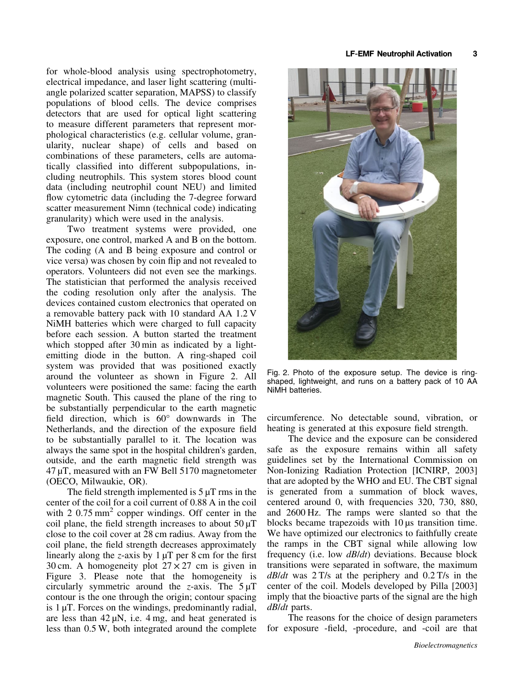for whole-blood analysis using spectrophotometry, electrical impedance, and laser light scattering (multi‐ angle polarized scatter separation, MAPSS) to classify populations of blood cells. The device comprises detectors that are used for optical light scattering to measure different parameters that represent morphological characteristics (e.g. cellular volume, granularity, nuclear shape) of cells and based on combinations of these parameters, cells are automatically classified into different subpopulations, including neutrophils. This system stores blood count data (including neutrophil count NEU) and limited flow cytometric data (including the 7‐degree forward scatter measurement Nimn (technical code) indicating granularity) which were used in the analysis.

Two treatment systems were provided, one exposure, one control, marked A and B on the bottom. The coding (A and B being exposure and control or vice versa) was chosen by coin flip and not revealed to operators. Volunteers did not even see the markings. The statistician that performed the analysis received the coding resolution only after the analysis. The devices contained custom electronics that operated on a removable battery pack with 10 standard AA 1.2 V NiMH batteries which were charged to full capacity before each session. A button started the treatment which stopped after 30 min as indicated by a lightemitting diode in the button. A ring‐shaped coil system was provided that was positioned exactly around the volunteer as shown in Figure 2. All volunteers were positioned the same: facing the earth magnetic South. This caused the plane of the ring to be substantially perpendicular to the earth magnetic field direction, which is 60° downwards in The Netherlands, and the direction of the exposure field to be substantially parallel to it. The location was always the same spot in the hospital children's garden, outside, and the earth magnetic field strength was 47 µT, measured with an FW Bell 5170 magnetometer (OECO, Milwaukie, OR).

The field strength implemented is  $5 \mu$ T rms in the center of the coil for a coil current of 0.88 A in the coil with  $2 \times 0.75$  mm<sup>2</sup> copper windings. Off center in the coil plane, the field strength increases to about  $50 \mu$ T close to the coil cover at 28 cm radius. Away from the coil plane, the field strength decreases approximately linearly along the z-axis by  $1 \mu T$  per 8 cm for the first 30 cm. A homogeneity plot  $27 \times 27$  cm is given in Figure 3. Please note that the homogeneity is circularly symmetric around the  $z$ -axis. The  $5 \mu T$ contour is the one through the origin; contour spacing is 1 µT. Forces on the windings, predominantly radial, are less than  $42 \mu N$ , i.e.  $4 \text{ mg}$ , and heat generated is less than 0.5 W, both integrated around the complete



Fig. 2. Photo of the exposure setup. The device is ring‐ shaped, lightweight, and runs on a battery pack of 10 AA NiMH batteries.

circumference. No detectable sound, vibration, or heating is generated at this exposure field strength.

The device and the exposure can be considered safe as the exposure remains within all safety guidelines set by the International Commission on Non‐Ionizing Radiation Protection [ICNIRP, 2003] that are adopted by the WHO and EU. The CBT signal is generated from a summation of block waves, centered around 0, with frequencies 320, 730, 880, and 2600 Hz. The ramps were slanted so that the blocks became trapezoids with 10 µs transition time. We have optimized our electronics to faithfully create the ramps in the CBT signal while allowing low frequency (i.e. low dB/dt) deviations. Because block transitions were separated in software, the maximum  $dB/dt$  was 2 T/s at the periphery and 0.2 T/s in the center of the coil. Models developed by Pilla [2003] imply that the bioactive parts of the signal are the high dB/dt parts.

The reasons for the choice of design parameters for exposure ‐field, ‐procedure, and ‐coil are that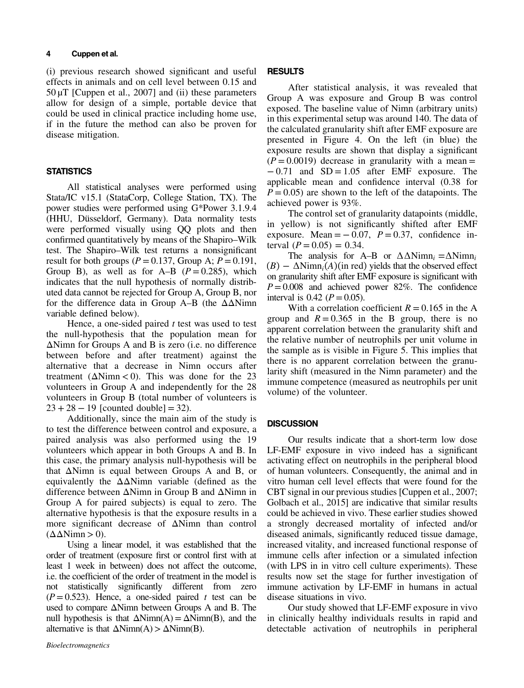#### 4 Cuppen et al.

(i) previous research showed significant and useful effects in animals and on cell level between 0.15 and  $50 \mu T$  [Cuppen et al., 2007] and (ii) these parameters allow for design of a simple, portable device that could be used in clinical practice including home use, if in the future the method can also be proven for disease mitigation.

## **STATISTICS**

All statistical analyses were performed using Stata/IC v15.1 (StataCorp, College Station, TX). The power studies were performed using G\*Power 3.1.9.4 (HHU, Düsseldorf, Germany). Data normality tests were performed visually using QQ plots and then confirmed quantitatively by means of the Shapiro–Wilk test. The Shapiro–Wilk test returns a nonsignificant result for both groups ( $P = 0.137$ , Group A;  $P = 0.191$ , Group B), as well as for A–B  $(P = 0.285)$ , which indicates that the null hypothesis of normally distributed data cannot be rejected for Group A, Group B, nor for the difference data in Group A–B (the  $\Delta\Delta$ Nimn variable defined below).

Hence, a one-sided paired  $t$  test was used to test the null‐hypothesis that the population mean for ΔNimn for Groups A and B is zero (i.e. no difference between before and after treatment) against the alternative that a decrease in Nimn occurs after treatment ( $\Delta$ Nimn < 0). This was done for the 23 volunteers in Group A and independently for the 28 volunteers in Group B (total number of volunteers is  $23 + 28 - 19$  [counted double] = 32).

Additionally, since the main aim of the study is to test the difference between control and exposure, a paired analysis was also performed using the 19 volunteers which appear in both Groups A and B. In this case, the primary analysis null‐hypothesis will be that ΔNimn is equal between Groups A and B, or equivalently the  $\Delta\Delta$ Nimn variable (defined as the difference between ΔNimn in Group B and ΔNimn in Group A for paired subjects) is equal to zero. The alternative hypothesis is that the exposure results in a more significant decrease of ΔNimn than control  $(\Delta \Delta N$ imn > 0).

Using a linear model, it was established that the order of treatment (exposure first or control first with at least 1 week in between) does not affect the outcome, i.e. the coefficient of the order of treatment in the model is not statistically significantly different from zero  $(P=0.523)$ . Hence, a one-sided paired t test can be used to compare ΔNimn between Groups A and B. The null hypothesis is that  $\Delta N$ imn(A) =  $\Delta N$ imn(B), and the alternative is that  $\Delta N$ imn(A) >  $\Delta N$ imn(B).

## **RESULTS**

After statistical analysis, it was revealed that Group A was exposure and Group B was control exposed. The baseline value of Nimn (arbitrary units) in this experimental setup was around 140. The data of the calculated granularity shift after EMF exposure are presented in Figure 4. On the left (in blue) the exposure results are shown that display a significant  $(P = 0.0019)$  decrease in granularity with a mean =  $-0.71$  and  $SD = 1.05$  after EMF exposure. The applicable mean and confidence interval (0.38 for  $P = 0.05$ ) are shown to the left of the datapoints. The achieved power is 93%.

The control set of granularity datapoints (middle, in yellow) is not significantly shifted after EMF exposure. Mean =  $-0.07$ ,  $P = 0.37$ , confidence interval  $(P = 0.05) = 0.34$ .

The analysis for A–B or  $\Delta \Delta N$ imn<sub>*i*</sub> =  $\Delta N$ imn<sub>*i*</sub>  $(B) - \Delta N$ imn<sub>i</sub> $(A)$ (in red) yields that the observed effect on granularity shift after EMF exposure is significant with  $P=0.008$  and achieved power 82%. The confidence interval is 0.42 ( $P = 0.05$ ).

With a correlation coefficient  $R = 0.165$  in the A group and  $R = 0.365$  in the B group, there is no apparent correlation between the granularity shift and the relative number of neutrophils per unit volume in the sample as is visible in Figure 5. This implies that there is no apparent correlation between the granularity shift (measured in the Nimn parameter) and the immune competence (measured as neutrophils per unit volume) of the volunteer.

## **DISCUSSION**

Our results indicate that a short‐term low dose LF‐EMF exposure in vivo indeed has a significant activating effect on neutrophils in the peripheral blood of human volunteers. Consequently, the animal and in vitro human cell level effects that were found for the CBT signal in our previous studies [Cuppen et al., 2007; Golbach et al., 2015] are indicative that similar results could be achieved in vivo. These earlier studies showed a strongly decreased mortality of infected and/or diseased animals, significantly reduced tissue damage, increased vitality, and increased functional response of immune cells after infection or a simulated infection (with LPS in in vitro cell culture experiments). These results now set the stage for further investigation of immune activation by LF‐EMF in humans in actual disease situations in vivo.

Our study showed that LF‐EMF exposure in vivo in clinically healthy individuals results in rapid and detectable activation of neutrophils in peripheral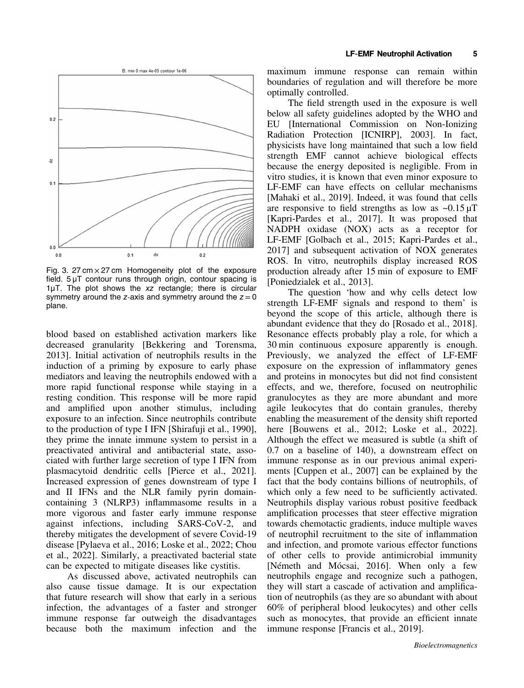

Fig. 3. 27 cm  $\times$  27 cm Homogeneity plot of the exposure field. 5 µT contour runs through origin, contour spacing is 1µT. The plot shows the xz rectangle; there is circular symmetry around the z-axis and symmetry around the  $z = 0$ plane.

blood based on established activation markers like decreased granularity [Bekkering and Torensma, 2013]. Initial activation of neutrophils results in the induction of a priming by exposure to early phase mediators and leaving the neutrophils endowed with a more rapid functional response while staying in a resting condition. This response will be more rapid and amplified upon another stimulus, including exposure to an infection. Since neutrophils contribute to the production of type I IFN [Shirafuji et al., 1990], they prime the innate immune system to persist in a preactivated antiviral and antibacterial state, associated with further large secretion of type I IFN from plasmacytoid dendritic cells [Pierce et al., 2021]. Increased expression of genes downstream of type I and II IFNs and the NLR family pyrin domain‐ containing 3 (NLRP3) inflammasome results in a more vigorous and faster early immune response against infections, including SARS‐CoV‐2, and thereby mitigates the development of severe Covid‐19 disease [Pylaeva et al., 2016; Loske et al., 2022; Chou et al., 2022]. Similarly, a preactivated bacterial state can be expected to mitigate diseases like cystitis.

As discussed above, activated neutrophils can also cause tissue damage. It is our expectation that future research will show that early in a serious infection, the advantages of a faster and stronger immune response far outweigh the disadvantages because both the maximum infection and the

maximum immune response can remain within boundaries of regulation and will therefore be more optimally controlled.

The field strength used in the exposure is well below all safety guidelines adopted by the WHO and EU [International Commission on Non‐Ionizing Radiation Protection [ICNIRP], 2003]. In fact, physicists have long maintained that such a low field strength EMF cannot achieve biological effects because the energy deposited is negligible. From in vitro studies, it is known that even minor exposure to LF‐EMF can have effects on cellular mechanisms [Mahaki et al., 2019]. Indeed, it was found that cells are responsive to field strengths as low as  $\sim 0.15 \mu T$ [Kapri‐Pardes et al., 2017]. It was proposed that NADPH oxidase (NOX) acts as a receptor for LF-EMF [Golbach et al., 2015; Kapri-Pardes et al., 2017] and subsequent activation of NOX generates ROS. In vitro, neutrophils display increased ROS production already after 15 min of exposure to EMF [Poniedzialek et al., 2013].

The question 'how and why cells detect low strength LF‐EMF signals and respond to them' is beyond the scope of this article, although there is abundant evidence that they do [Rosado et al., 2018]. Resonance effects probably play a role, for which a 30 min continuous exposure apparently is enough. Previously, we analyzed the effect of LF‐EMF exposure on the expression of inflammatory genes and proteins in monocytes but did not find consistent effects, and we, therefore, focused on neutrophilic granulocytes as they are more abundant and more agile leukocytes that do contain granules, thereby enabling the measurement of the density shift reported here [Bouwens et al., 2012; Loske et al., 2022]. Although the effect we measured is subtle (a shift of 0.7 on a baseline of 140), a downstream effect on immune response as in our previous animal experiments [Cuppen et al., 2007] can be explained by the fact that the body contains billions of neutrophils, of which only a few need to be sufficiently activated. Neutrophils display various robust positive feedback amplification processes that steer effective migration towards chemotactic gradients, induce multiple waves of neutrophil recruitment to the site of inflammation and infection, and promote various effector functions of other cells to provide antimicrobial immunity [Németh and Mócsai, 2016]. When only a few neutrophils engage and recognize such a pathogen, they will start a cascade of activation and amplification of neutrophils (as they are so abundant with about 60% of peripheral blood leukocytes) and other cells such as monocytes, that provide an efficient innate immune response [Francis et al., 2019].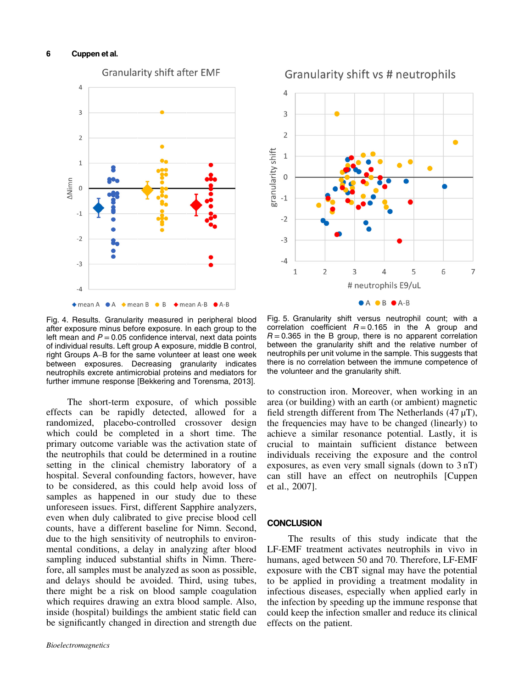

Granularity shift vs # neutrophils



Fig. 4. Results. Granularity measured in peripheral blood after exposure minus before exposure. In each group to the left mean and  $P = 0.05$  confidence interval, next data points of individual results. Left group A exposure, middle B control, right Groups A–B for the same volunteer at least one week between exposures. Decreasing granularity indicates neutrophils excrete antimicrobial proteins and mediators for further immune response [Bekkering and Torensma, 2013].

The short-term exposure, of which possible effects can be rapidly detected, allowed for a randomized, placebo‐controlled crossover design which could be completed in a short time. The primary outcome variable was the activation state of the neutrophils that could be determined in a routine setting in the clinical chemistry laboratory of a hospital. Several confounding factors, however, have to be considered, as this could help avoid loss of samples as happened in our study due to these unforeseen issues. First, different Sapphire analyzers, even when duly calibrated to give precise blood cell counts, have a different baseline for Nimn. Second, due to the high sensitivity of neutrophils to environmental conditions, a delay in analyzing after blood sampling induced substantial shifts in Nimn. Therefore, all samples must be analyzed as soon as possible, and delays should be avoided. Third, using tubes, there might be a risk on blood sample coagulation which requires drawing an extra blood sample. Also, inside (hospital) buildings the ambient static field can be significantly changed in direction and strength due

Fig. 5. Granularity shift versus neutrophil count; with a correlation coefficient  $R = 0.165$  in the A group and  $R = 0.365$  in the B group, there is no apparent correlation between the granularity shift and the relative number of neutrophils per unit volume in the sample. This suggests that there is no correlation between the immune competence of the volunteer and the granularity shift.

to construction iron. Moreover, when working in an area (or building) with an earth (or ambient) magnetic field strength different from The Netherlands (47 µT), the frequencies may have to be changed (linearly) to achieve a similar resonance potential. Lastly, it is crucial to maintain sufficient distance between individuals receiving the exposure and the control exposures, as even very small signals (down to 3 nT) can still have an effect on neutrophils [Cuppen et al., 2007].

## **CONCLUSION**

The results of this study indicate that the LF‐EMF treatment activates neutrophils in vivo in humans, aged between 50 and 70. Therefore, LF‐EMF exposure with the CBT signal may have the potential to be applied in providing a treatment modality in infectious diseases, especially when applied early in the infection by speeding up the immune response that could keep the infection smaller and reduce its clinical effects on the patient.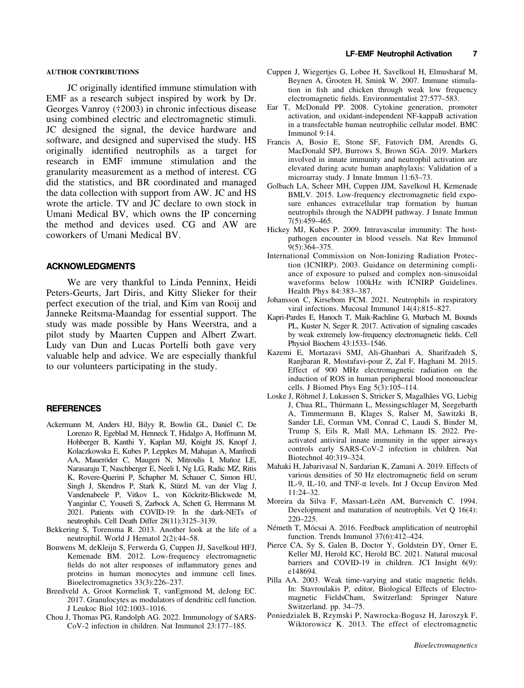#### LF-EMF Neutrophil Activation 7

#### AUTHOR CONTRIBUTIONS

JC originally identified immune stimulation with EMF as a research subject inspired by work by Dr. Georges Vanroy (†2003) in chronic infectious disease using combined electric and electromagnetic stimuli. JC designed the signal, the device hardware and software, and designed and supervised the study. HS originally identified neutrophils as a target for research in EMF immune stimulation and the granularity measurement as a method of interest. CG did the statistics, and BR coordinated and managed the data collection with support from AW. JC and HS wrote the article. TV and JC declare to own stock in Umani Medical BV, which owns the IP concerning the method and devices used. CG and AW are coworkers of Umani Medical BV.

## ACKNOWLEDGMENTS

We are very thankful to Linda Penninx, Heidi Peters‐Geurts, Jart Diris, and Kitty Slieker for their perfect execution of the trial, and Kim van Rooij and Janneke Reitsma‐Maandag for essential support. The study was made possible by Hans Weerstra, and a pilot study by Maarten Cuppen and Albert Zwart. Ludy van Dun and Lucas Portelli both gave very valuable help and advice. We are especially thankful to our volunteers participating in the study.

#### **REFERENCES**

- Ackermann M, Anders HJ, Bilyy R, Bowlin GL, Daniel C, De Lorenzo R, Egeblad M, Henneck T, Hidalgo A, Hoffmann M, Hohberger B, Kanthi Y, Kaplan MJ, Knight JS, Knopf J, Kolaczkowska E, Kubes P, Leppkes M, Mahajan A, Manfredi AA, Maueröder C, Maugeri N, Mitroulis I, Muñoz LE, Narasaraju T, Naschberger E, Neeli I, Ng LG, Radic MZ, Ritis K, Rovere‐Querini P, Schapher M, Schauer C, Simon HU, Singh J, Skendros P, Stark K, Stürzl M, van der Vlag J, Vandenabeele P, Vitkov L, von Köckritz‐Blickwede M, Yanginlar C, Yousefi S, Zarbock A, Schett G, Herrmann M. 2021. Patients with COVID‐19: In the dark‐NETs of neutrophils. Cell Death Differ 28(11):3125–3139.
- Bekkering S, Torensma R. 2013. Another look at the life of a neutrophil. World J Hematol 2(2):44–58.
- Bouwens M, deKleijn S, Ferwerda G, Cuppen JJ, Savelkoul HFJ, Kemenade BM. 2012. Low‐frequency electromagnetic fields do not alter responses of inflammatory genes and proteins in human monocytes and immune cell lines. Bioelectromagnetics 33(3):226–237.
- Breedveld A, Groot Kormelink T, vanEgmond M, deJong EC. 2017. Granulocytes as modulators of dendritic cell function. J Leukoc Biol 102:1003–1016.
- Chou J, Thomas PG, Randolph AG. 2022. Immunology of SARS‐ CoV‐2 infection in children. Nat Immunol 23:177–185.
- Cuppen J, Wiegertjes G, Lobee H, Savelkoul H, Elmusharaf M, Beynen A, Grooten H, Smink W. 2007. Immune stimulation in fish and chicken through weak low frequency electromagnetic fields. Environmentalist 27:577–583.
- Ear T, McDonald PP. 2008. Cytokine generation, promoter activation, and oxidant‐independent NF‐kappaB activation in a transfectable human neutrophilic cellular model. BMC Immunol 9:14.
- Francis A, Bosio E, Stone SF, Fatovich DM, Arendts G, MacDonald SPJ, Burrows S, Brown SGA. 2019. Markers involved in innate immunity and neutrophil activation are elevated during acute human anaphylaxis: Validation of a microarray study. J Innate Immun 11:63–73.
- Golbach LA, Scheer MH, Cuppen JJM, Savelkoul H, Kemenade BMLV. 2015. Low‐frequency electromagnetic field exposure enhances extracellular trap formation by human neutrophils through the NADPH pathway. J Innate Immun 7(5):459–465.
- Hickey MJ, Kubes P. 2009. Intravascular immunity: The hostpathogen encounter in blood vessels. Nat Rev Immunol 9(5):364–375.
- International Commission on Non‐Ionizing Radiation Protection (ICNIRP). 2003. Guidance on determining compliance of exposure to pulsed and complex non‐sinusoidal waveforms below 100kHz with ICNIRP Guidelines. Health Phys 84:383–387.
- Johansson C, Kirsebom FCM. 2021. Neutrophils in respiratory viral infections. Mucosal Immunol 14(4):815–827.
- Kapri‐Pardes E, Hanoch T, Maik‐Rachline G, Murbach M, Bounds PL, Kuster N, Seger R. 2017. Activation of signaling cascades by weak extremely low‐frequency electromagnetic fields. Cell Physiol Biochem 43:1533–1546.
- Kazemi E, Mortazavi SMJ, Ali‐Ghanbari A, Sharifzadeh S, Ranjbaran R, Mostafavi‐pour Z, Zal F, Haghani M. 2015. Effect of 900 MHz electromagnetic radiation on the induction of ROS in human peripheral blood mononuclear cells. J Biomed Phys Eng  $5(3):105-114$ .
- Loske J, Röhmel J, Lukassen S, Stricker S, Magalhães VG, Liebig J, Chua RL, Thürmann L, Messingschlager M, Seegebarth A, Timmermann B, Klages S, Ralser M, Sawitzki B, Sander LE, Corman VM, Conrad C, Laudi S, Binder M, Trump S, Eils R, Mall MA, Lehmann IS. 2022. Pre‐ activated antiviral innate immunity in the upper airways controls early SARS‐CoV‐2 infection in children. Nat Biotechnol 40:319–324.
- Mahaki H, Jabarivasal N, Sardarian K, Zamani A. 2019. Effects of various densities of 50 Hz electromagnetic field on serum IL‐9, IL‐10, and TNF‐α levels. Int J Occup Environ Med 11:24–32.
- Moreira da Silva F, Massart‐Leën AM, Burvenich C. 1994. Development and maturation of neutrophils. Vet Q 16(4): 220–225.
- Németh T, Mócsai A. 2016. Feedback amplification of neutrophil function. Trends Immunol 37(6):412–424.
- Pierce CA, Sy S, Galen B, Doctor Y, Goldstein DY, Orner E, Keller MJ, Herold KC, Herold BC. 2021. Natural mucosal barriers and COVID-19 in children. JCI Insight 6(9): e148694.
- Pilla AA. 2003. Weak time‐varying and static magnetic fields. In: Stavroulakis P, editor, Biological Effects of Electromagnetic FieldsCham, Switzerland: Springer Nature Switzerland. pp. 34–75.
- Poniedzialek B, Rzymski P, Nawrocka‐Bogusz H, Jaroszyk F, Wiktorowicz K. 2013. The effect of electromagnetic